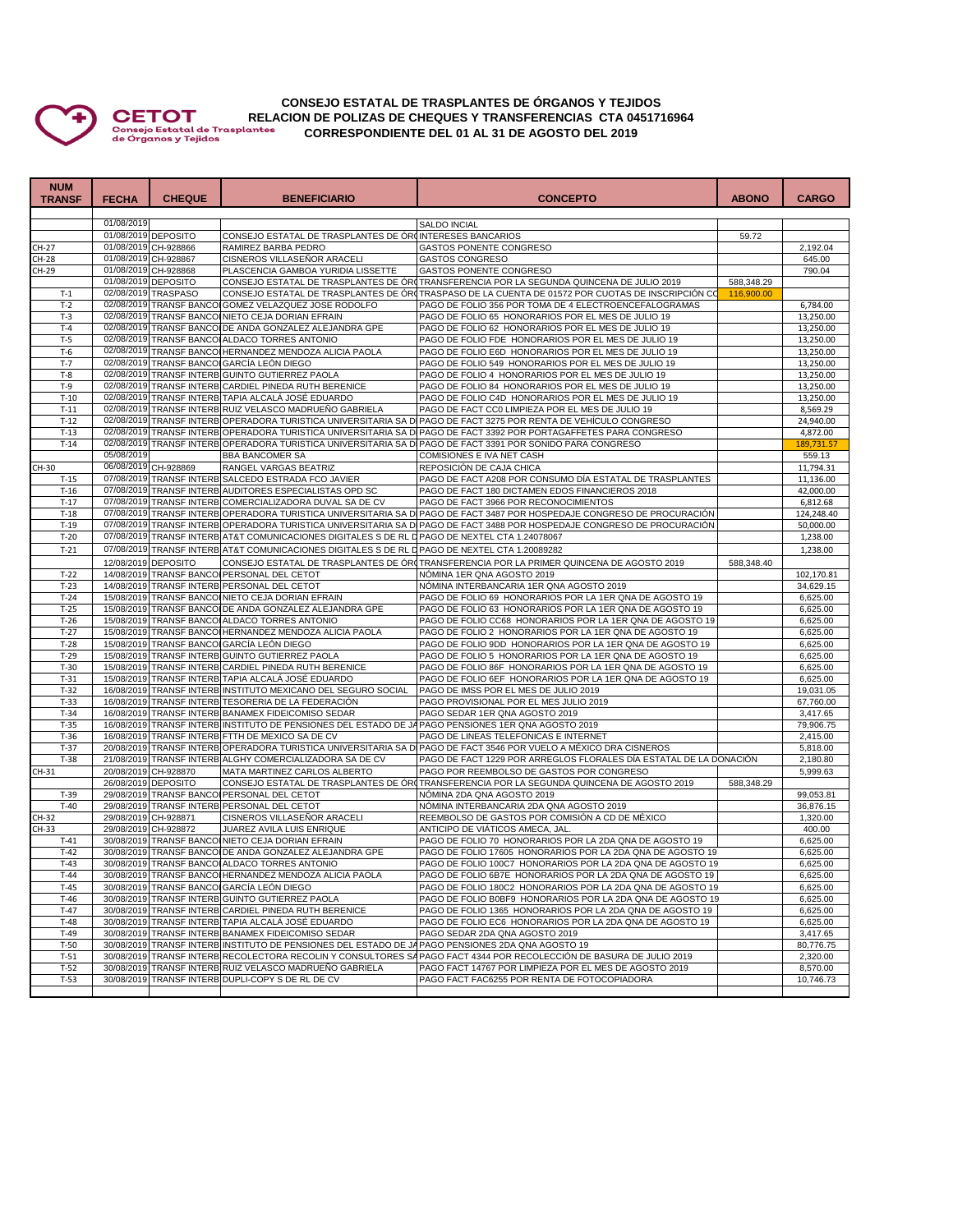

## **CONSEJO ESTATAL DE TRASPLANTES DE ÓRGANOS Y TEJIDOS RELACION DE POLIZAS DE CHEQUES Y TRANSFERENCIAS CTA 0451716964 CORRESPONDIENTE DE MAGNETISTE DE CONSTRUERT DE L'ANCIAT DE CONSTRUERT CONSTRUERT DEL 01 AL 31 DE AGOSTO DEL 2019**<br>de Órganos y Tejidos **CORRESPONDIENTE DEL 01 AL 31 DE AGOSTO DEL 2019**

| <b>NUM</b><br><b>TRANSF</b> | <b>FECHA</b>         | <b>CHEQUE</b>        | <b>BENEFICIARIO</b>                                                                                                                                     | <b>CONCEPTO</b>                                                                                                                                                       | <b>ABONO</b> | <b>CARGO</b>            |
|-----------------------------|----------------------|----------------------|---------------------------------------------------------------------------------------------------------------------------------------------------------|-----------------------------------------------------------------------------------------------------------------------------------------------------------------------|--------------|-------------------------|
|                             | 01/08/2019           |                      |                                                                                                                                                         | <b>SALDO INCIAL</b>                                                                                                                                                   |              |                         |
|                             | 01/08/2019 DEPOSITO  |                      | CONSEJO ESTATAL DE TRASPLANTES DE ÓRUNTERESES BANCARIOS                                                                                                 |                                                                                                                                                                       | 59.72        |                         |
| CH-27                       | 01/08/2019 CH-928866 |                      | RAMIREZ BARBA PEDRO                                                                                                                                     | GASTOS PONENTE CONGRESO                                                                                                                                               |              | 2,192.04                |
| $CH-28$                     | 01/08/2019 CH-928867 |                      | CISNEROS VILLASEÑOR ARACELI                                                                                                                             | <b>GASTOS CONGRESO</b>                                                                                                                                                |              | 645.00                  |
| $CH-29$                     | 01/08/2019 CH-928868 |                      | PLASCENCIA GAMBOA YURIDIA LISSETTE                                                                                                                      | GASTOS PONENTE CONGRESO                                                                                                                                               |              | 790.04                  |
|                             | 01/08/2019 DEPOSITO  |                      |                                                                                                                                                         | CONSEJO ESTATAL DE TRASPLANTES DE ÓRITRANSFERENCIA POR LA SEGUNDA QUINCENA DE JULIO 2019                                                                              | 588,348.29   |                         |
| $T-1$                       |                      | 02/08/2019 TRASPASO  | 02/08/2019 TRANSF BANCOI GOMEZ VELAZQUEZ JOSE RODOLFO                                                                                                   | CONSEJO ESTATAL DE TRASPLANTES DE ÓRITRASPASO DE LA CUENTA DE 01572 POR CUOTAS DE INSCRIPCIÓN CO                                                                      | 116,900.00   |                         |
| $T-2$<br>$T-3$              |                      |                      | 02/08/2019 TRANSF BANCOINIETO CEJA DORIAN EFRAIN                                                                                                        | PAGO DE FOLIO 356 POR TOMA DE 4 ELECTROENCEFALOGRAMAS<br>PAGO DE FOLIO 65 HONORARIOS POR EL MES DE JULIO 19                                                           |              | 6,784.00<br>13,250.00   |
| $T-4$                       |                      |                      | 02/08/2019 TRANSF BANCOI DE ANDA GONZALEZ ALEJANDRA GPE                                                                                                 | PAGO DE FOLIO 62 HONORARIOS POR EL MES DE JULIO 19                                                                                                                    |              | 13,250.00               |
| $T-5$                       |                      |                      | 02/08/2019 TRANSF BANCOLALDACO TORRES ANTONIO                                                                                                           | PAGO DE FOLIO FDE HONORARIOS POR EL MES DE JULIO 19                                                                                                                   |              | 13,250.00               |
| $T-6$                       |                      |                      | 02/08/2019 TRANSF BANCOI HERNANDEZ MENDOZA ALICIA PAOLA                                                                                                 | PAGO DE FOLIO E6D HONORARIOS POR EL MES DE JULIO 19                                                                                                                   |              | 13,250.00               |
| $T-7$                       |                      |                      | 02/08/2019 TRANSF BANCOI GARCÍA LEÓN DIEGO                                                                                                              | PAGO DE FOLIO 549 HONORARIOS POR EL MES DE JULIO 19                                                                                                                   |              | 13,250.00               |
| $T-8$                       |                      |                      | 02/08/2019 TRANSF INTERB GUINTO GUTIERREZ PAOLA                                                                                                         | PAGO DE FOLIO 4 HONORARIOS POR EL MES DE JULIO 19                                                                                                                     |              | 13,250.00               |
| $T-9$                       |                      |                      | 02/08/2019 TRANSF INTERB CARDIEL PINEDA RUTH BERENICE                                                                                                   | PAGO DE FOLIO 84 HONORARIOS POR EL MES DE JULIO 19                                                                                                                    |              | 13,250.00               |
| $T-10$                      |                      |                      | 02/08/2019 TRANSF INTERB TAPIA ALCALÁ JOSÉ EDUARDO                                                                                                      | PAGO DE FOLIO C4D HONORARIOS POR EL MES DE JULIO 19                                                                                                                   |              | 13,250.00               |
| $T-11$<br>$T-12$            |                      |                      | 02/08/2019 TRANSF INTERB RUIZ VELASCO MADRUEÑO GABRIELA                                                                                                 | PAGO DE FACT CC0 LIMPIEZA POR EL MES DE JULIO 19<br>02/08/2019 TRANSF INTERB OPERADORA TURISTICA UNIVERSITARIA SA DI PAGO DE FACT 3275 POR RENTA DE VEHÍCULO CONGRESO |              | 8,569.29<br>24,940.00   |
| $T-13$                      |                      |                      |                                                                                                                                                         | 02/08/2019 TRANSF INTERB OPERADORA TURISTICA UNIVERSITARIA SA DI PAGO DE FACT 3392 POR PORTAGAFFETES PARA CONGRESO                                                    |              | 4,872.00                |
| $T-14$                      |                      |                      |                                                                                                                                                         | 02/08/2019 TRANSF INTERB OPERADORA TURISTICA UNIVERSITARIA SA DI PAGO DE FACT 3391 POR SONIDO PARA CONGRESO                                                           |              | 189,731.57              |
|                             | 05/08/2019           |                      | <b>BBA BANCOMER SA</b>                                                                                                                                  | COMISIONES E IVA NET CASH                                                                                                                                             |              | 559.13                  |
| CH-30                       | 06/08/2019 CH-928869 |                      | RANGEL VARGAS BEATRIZ                                                                                                                                   | REPOSICIÓN DE CAJA CHICA                                                                                                                                              |              | 11,794.31               |
| $T-15$                      |                      |                      | 07/08/2019 TRANSF INTERB SALCEDO ESTRADA FCO JAVIER                                                                                                     | PAGO DE FACT A208 POR CONSUMO DÍA ESTATAL DE TRASPLANTES                                                                                                              |              | 11,136.00               |
| $T-16$                      |                      |                      | 07/08/2019 TRANSF INTERB AUDITORES ESPECIALISTAS OPD SC                                                                                                 | PAGO DE FACT 180 DICTAMEN EDOS FINANCIEROS 2018                                                                                                                       |              | 42,000.00               |
| $T-17$                      |                      |                      | 07/08/2019 TRANSF INTERB COMERCIALIZADORA DUVAL SA DE CV                                                                                                | PAGO DE FACT 3966 POR RECONOCIMIENTOS                                                                                                                                 |              | 6,812.68                |
| $T-18$                      |                      |                      |                                                                                                                                                         | 07/08/2019 TRANSF INTERB OPERADORA TURISTICA UNIVERSITARIA SA DI PAGO DE FACT 3487 POR HOSPEDAJE CONGRESO DE PROCURACIÓN                                              |              | 124,248.40              |
| $T-19$                      |                      |                      |                                                                                                                                                         | 07/08/2019 TRANSF INTERB OPERADORA TURISTICA UNIVERSITARIA SA DI PAGO DE FACT 3488 POR HOSPEDAJE CONGRESO DE PROCURACIÓN                                              |              | 50,000.00               |
| $T-20$                      |                      |                      | 07/08/2019 TRANSF INTERB AT&T COMUNICACIONES DIGITALES S DE RL DPAGO DE NEXTEL CTA 1.24078067                                                           |                                                                                                                                                                       |              | 1,238.00                |
| $T-21$                      |                      |                      | 07/08/2019 TRANSF INTERB AT&T COMUNICACIONES DIGITALES S DE RL DPAGO DE NEXTEL CTA 1.20089282                                                           |                                                                                                                                                                       |              | 1,238.00                |
| $T-22$                      | 12/08/2019 DEPOSITO  |                      |                                                                                                                                                         | CONSEJO ESTATAL DE TRASPLANTES DE ÓRITRANSFERENCIA POR LA PRIMER QUINCENA DE AGOSTO 2019<br>NÓMINA 1ER QNA AGOSTO 2019                                                | 588,348.40   |                         |
| $T-23$                      |                      |                      | 14/08/2019 TRANSF BANCOI PERSONAL DEL CETOT<br>14/08/2019 TRANSF INTERB PERSONAL DEL CETOT                                                              | NÓMINA INTERBANCARIA 1ER QNA AGOSTO 2019                                                                                                                              |              | 102,170.81<br>34,629.15 |
| $T-24$                      |                      |                      | 15/08/2019 TRANSF BANCO NIETO CEJA DORIAN EFRAIN                                                                                                        | PAGO DE FOLIO 69 HONORARIOS POR LA 1ER QNA DE AGOSTO 19                                                                                                               |              | 6,625.00                |
| $T-25$                      |                      |                      | 15/08/2019 TRANSF BANCO DE ANDA GONZALEZ ALEJANDRA GPE                                                                                                  | PAGO DE FOLIO 63 HONORARIOS POR LA 1ER QNA DE AGOSTO 19                                                                                                               |              | 6,625.00                |
| $T-26$                      |                      |                      | 15/08/2019 TRANSF BANCOLALDACO TORRES ANTONIO                                                                                                           | PAGO DE FOLIO CC68 HONORARIOS POR LA 1ER QNA DE AGOSTO 19                                                                                                             |              | 6.625.00                |
| $T-27$                      |                      |                      | 15/08/2019 TRANSF BANCOI HERNANDEZ MENDOZA ALICIA PAOLA                                                                                                 | PAGO DE FOLIO 2 HONORARIOS POR LA 1ER QNA DE AGOSTO 19                                                                                                                |              | 6,625.00                |
| $T-28$                      |                      |                      | 15/08/2019 TRANSF BANCOI GARCÍA LEÓN DIEGO                                                                                                              | PAGO DE FOLIO 9DD HONORARIOS POR LA 1ER QNA DE AGOSTO 19                                                                                                              |              | 6,625.00                |
| $T-29$                      |                      |                      | 15/08/2019 TRANSF INTERB GUINTO GUTIERREZ PAOLA                                                                                                         | PAGO DE FOLIO 5 HONORARIOS POR LA 1ER QNA DE AGOSTO 19                                                                                                                |              | 6,625.00                |
| $T-30$                      |                      |                      | 15/08/2019 TRANSF INTERB CARDIEL PINEDA RUTH BERENICE                                                                                                   | PAGO DE FOLIO 86F HONORARIOS POR LA 1ER QNA DE AGOSTO 19                                                                                                              |              | 6,625.00                |
| $T-31$<br>$T-32$            |                      |                      | 15/08/2019 TRANSF INTERB TAPIA ALCALA JOSÉ EDUARDO<br>16/08/2019 TRANSF INTERB INSTITUTO MEXICANO DEL SEGURO SOCIAL                                     | PAGO DE FOLIO 6EF HONORARIOS POR LA 1ER QNA DE AGOSTO 19<br>PAGO DE IMSS POR EL MES DE JULIO 2019                                                                     |              | 6,625.00<br>19,031.05   |
| $T-33$                      |                      |                      | 16/08/2019 TRANSF INTERB TESORERIA DE LA FEDERACIÓN                                                                                                     | PAGO PROVISIONAL POR EL MES JULIO 2019                                                                                                                                |              | 67,760.00               |
| $T-34$                      |                      |                      | 16/08/2019 TRANSF INTERB BANAMEX FIDEICOMISO SEDAR                                                                                                      | PAGO SEDAR 1ER QNA AGOSTO 2019                                                                                                                                        |              | 3,417.65                |
| $T-35$                      |                      |                      | 16/08/2019 TRANSF INTERB INSTITUTO DE PENSIONES DEL ESTADO DE JAPAGO PENSIONES 1ER QNA AGOSTO 2019                                                      |                                                                                                                                                                       |              | 79,906.75               |
| $T-36$                      |                      |                      | 16/08/2019 TRANSF INTERB FTTH DE MEXICO SA DE CV                                                                                                        | PAGO DE LINEAS TELEFONICAS E INTERNET                                                                                                                                 |              | 2,415.00                |
| $T-37$                      |                      |                      |                                                                                                                                                         | 20/08/2019 TRANSF INTERB OPERADORA TURISTICA UNIVERSITARIA SA DI PAGO DE FACT 3546 POR VUELO A MÉXICO DRA CISNEROS                                                    |              | 5,818.00                |
| $T-38$                      |                      |                      | 21/08/2019 TRANSF INTERB ALGHY COMERCIALIZADORA SA DE CV                                                                                                | PAGO DE FACT 1229 POR ARREGLOS FLORALES DÍA ESTATAL DE LA DONACIÓN                                                                                                    |              | 2,180.80                |
| $CH-31$                     |                      | 20/08/2019 CH-928870 | MATA MARTINEZ CARLOS ALBERTO                                                                                                                            | PAGO POR REEMBOLSO DE GASTOS POR CONGRESO                                                                                                                             |              | 5,999.63                |
|                             | 26/08/2019 DEPOSITO  |                      |                                                                                                                                                         | CONSEJO ESTATAL DE TRASPLANTES DE ÓRITRANSFERENCIA POR LA SEGUNDA QUINCENA DE AGOSTO 2019                                                                             | 588,348.29   |                         |
| $T-39$<br>$T-40$            |                      |                      | 29/08/2019 TRANSF BANCOI PERSONAL DEL CETOT<br>29/08/2019 TRANSF INTERB PERSONAL DEL CETOT                                                              | NÓMINA 2DA QNA AGOSTO 2019<br>NÓMINA INTERBANCARIA 2DA QNA AGOSTO 2019                                                                                                |              | 99,053.81<br>36,876.15  |
| CH-32                       |                      | 29/08/2019 CH-928871 | CISNEROS VILLASEÑOR ARACELI                                                                                                                             | REEMBOLSO DE GASTOS POR COMISIÓN A CD DE MÉXICO                                                                                                                       |              | 1,320.00                |
| $CH-33$                     | 29/08/2019 CH-928872 |                      | JUAREZ AVILA LUIS ENRIQUE                                                                                                                               | ANTICIPO DE VIÁTICOS AMECA, JAL.                                                                                                                                      |              | 400.00                  |
| $T-41$                      |                      |                      | 30/08/2019 TRANSF BANCO NIETO CEJA DORIAN EFRAIN                                                                                                        | PAGO DE FOLIO 70 HONORARIOS POR LA 2DA QNA DE AGOSTO 19                                                                                                               |              | 6,625.00                |
| $T-42$                      |                      |                      | 30/08/2019 TRANSF BANCO DE ANDA GONZALEZ ALEJANDRA GPE                                                                                                  | PAGO DE FOLIO 17605 HONORARIOS POR LA 2DA QNA DE AGOSTO 19                                                                                                            |              | 6,625.00                |
| $T-43$                      |                      |                      | 30/08/2019 TRANSF BANCOLALDACO TORRES ANTONIO                                                                                                           | PAGO DE FOLIO 100C7 HONORARIOS POR LA 2DA QNA DE AGOSTO 19                                                                                                            |              | 6,625.00                |
| $T-44$                      |                      |                      | 30/08/2019 TRANSE BANCOLHERNANDEZ MENDOZA ALICIA PAOLA                                                                                                  | PAGO DE FOLIO 6B7E HONORARIOS POR LA 2DA ONA DE AGOSTO 19                                                                                                             |              | 6.625.00                |
| $T-45$                      |                      |                      | 30/08/2019 TRANSF BANCOLGARCÍA LEÓN DIEGO                                                                                                               | PAGO DE FOLIO 180C2 HONORARIOS POR LA 2DA QNA DE AGOSTO 19                                                                                                            |              | 6,625.00                |
| $T-46$                      |                      |                      | 30/08/2019 TRANSF INTERB GUINTO GUTIERREZ PAOLA                                                                                                         | PAGO DE FOLIO B0BF9 HONORARIOS POR LA 2DA QNA DE AGOSTO 19                                                                                                            |              | 6,625.00                |
| $T-47$                      |                      |                      | 30/08/2019 TRANSF INTERB CARDIEL PINEDA RUTH BERENICE                                                                                                   | PAGO DE FOLIO 1365 HONORARIOS POR LA 2DA QNA DE AGOSTO 19                                                                                                             |              | 6,625.00                |
| $T-48$                      |                      |                      | 30/08/2019 TRANSF INTERB TAPIA ALCALÁ JOSÉ EDUARDO                                                                                                      | PAGO DE FOLIO EC6 HONORARIOS POR LA 2DA QNA DE AGOSTO 19                                                                                                              |              | 6,625.00                |
| $T-49$<br>$T-50$            |                      |                      | 30/08/2019 TRANSF INTERB BANAMEX FIDEICOMISO SEDAR<br>30/08/2019 TRANSF INTERB INSTITUTO DE PENSIONES DEL ESTADO DE JA PAGO PENSIONES 2DA QNA AGOSTO 19 | PAGO SEDAR 2DA QNA AGOSTO 2019                                                                                                                                        |              | 3,417.65<br>80.776.75   |
| $T-51$                      |                      |                      |                                                                                                                                                         | 30/08/2019 TRANSF INTERB RECOLECTORA RECOLIN Y CONSULTORES SAPAGO FACT 4344 POR RECOLECCIÓN DE BASURA DE JULIO 2019                                                   |              | 2,320.00                |
| $T-52$                      |                      |                      | 30/08/2019 TRANSF INTERB RUIZ VELASCO MADRUEÑO GABRIELA                                                                                                 | PAGO FACT 14767 POR LIMPIEZA POR EL MES DE AGOSTO 2019                                                                                                                |              | 8,570.00                |
| $T-53$                      |                      |                      | 30/08/2019 TRANSF INTERB DUPLI-COPY S DE RL DE CV                                                                                                       | PAGO FACT FAC6255 POR RENTA DE FOTOCOPIADORA                                                                                                                          |              | 10,746.73               |
|                             |                      |                      |                                                                                                                                                         |                                                                                                                                                                       |              |                         |